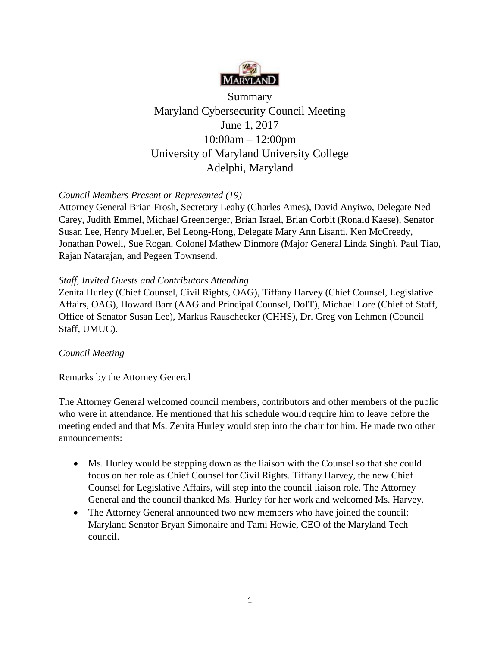

# Summary Maryland Cybersecurity Council Meeting June 1, 2017 10:00am – 12:00pm University of Maryland University College Adelphi, Maryland

# *Council Members Present or Represented (19)*

Attorney General Brian Frosh, Secretary Leahy (Charles Ames), David Anyiwo, Delegate Ned Carey, Judith Emmel, Michael Greenberger, Brian Israel, Brian Corbit (Ronald Kaese), Senator Susan Lee, Henry Mueller, Bel Leong-Hong, Delegate Mary Ann Lisanti, Ken McCreedy, Jonathan Powell, Sue Rogan, Colonel Mathew Dinmore (Major General Linda Singh), Paul Tiao, Rajan Natarajan, and Pegeen Townsend.

## *Staff, Invited Guests and Contributors Attending*

Zenita Hurley (Chief Counsel, Civil Rights, OAG), Tiffany Harvey (Chief Counsel, Legislative Affairs, OAG), Howard Barr (AAG and Principal Counsel, DoIT), Michael Lore (Chief of Staff, Office of Senator Susan Lee), Markus Rauschecker (CHHS), Dr. Greg von Lehmen (Council Staff, UMUC).

## *Council Meeting*

## Remarks by the Attorney General

The Attorney General welcomed council members, contributors and other members of the public who were in attendance. He mentioned that his schedule would require him to leave before the meeting ended and that Ms. Zenita Hurley would step into the chair for him. He made two other announcements:

- Ms. Hurley would be stepping down as the liaison with the Counsel so that she could focus on her role as Chief Counsel for Civil Rights. Tiffany Harvey, the new Chief Counsel for Legislative Affairs, will step into the council liaison role. The Attorney General and the council thanked Ms. Hurley for her work and welcomed Ms. Harvey.
- The Attorney General announced two new members who have joined the council: Maryland Senator Bryan Simonaire and Tami Howie, CEO of the Maryland Tech council.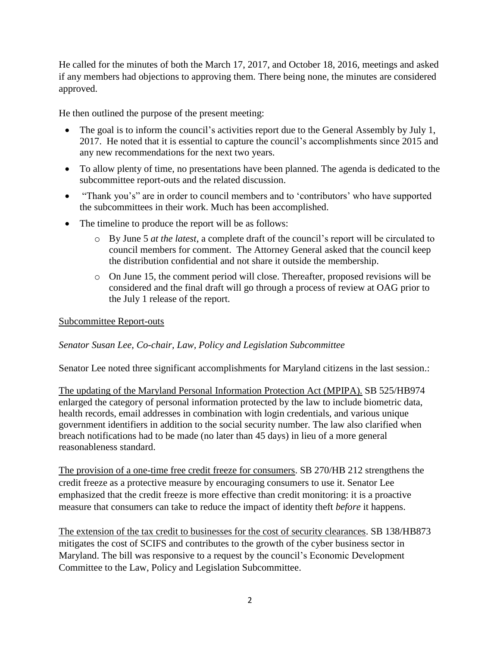He called for the minutes of both the March 17, 2017, and October 18, 2016, meetings and asked if any members had objections to approving them. There being none, the minutes are considered approved.

He then outlined the purpose of the present meeting:

- The goal is to inform the council's activities report due to the General Assembly by July 1, 2017. He noted that it is essential to capture the council's accomplishments since 2015 and any new recommendations for the next two years.
- To allow plenty of time, no presentations have been planned. The agenda is dedicated to the subcommittee report-outs and the related discussion.
- "Thank you's" are in order to council members and to 'contributors' who have supported the subcommittees in their work. Much has been accomplished.
- The timeline to produce the report will be as follows:
	- o By June 5 *at the latest*, a complete draft of the council's report will be circulated to council members for comment. The Attorney General asked that the council keep the distribution confidential and not share it outside the membership.
	- o On June 15, the comment period will close. Thereafter, proposed revisions will be considered and the final draft will go through a process of review at OAG prior to the July 1 release of the report.

#### Subcommittee Report-outs

#### *Senator Susan Lee, Co-chair, Law, Policy and Legislation Subcommittee*

Senator Lee noted three significant accomplishments for Maryland citizens in the last session.:

The updating of the Maryland Personal Information Protection Act (MPIPA). SB 525/HB974 enlarged the category of personal information protected by the law to include biometric data, health records, email addresses in combination with login credentials, and various unique government identifiers in addition to the social security number. The law also clarified when breach notifications had to be made (no later than 45 days) in lieu of a more general reasonableness standard.

The provision of a one-time free credit freeze for consumers. SB 270/HB 212 strengthens the credit freeze as a protective measure by encouraging consumers to use it. Senator Lee emphasized that the credit freeze is more effective than credit monitoring: it is a proactive measure that consumers can take to reduce the impact of identity theft *before* it happens.

The extension of the tax credit to businesses for the cost of security clearances. SB 138/HB873 mitigates the cost of SCIFS and contributes to the growth of the cyber business sector in Maryland. The bill was responsive to a request by the council's Economic Development Committee to the Law, Policy and Legislation Subcommittee.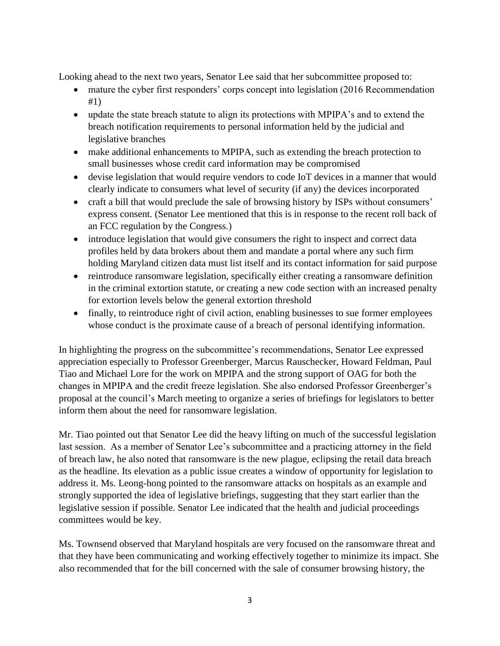Looking ahead to the next two years, Senator Lee said that her subcommittee proposed to:

- mature the cyber first responders' corps concept into legislation (2016 Recommendation #1)
- update the state breach statute to align its protections with MPIPA's and to extend the breach notification requirements to personal information held by the judicial and legislative branches
- make additional enhancements to MPIPA, such as extending the breach protection to small businesses whose credit card information may be compromised
- devise legislation that would require vendors to code IoT devices in a manner that would clearly indicate to consumers what level of security (if any) the devices incorporated
- craft a bill that would preclude the sale of browsing history by ISPs without consumers' express consent. (Senator Lee mentioned that this is in response to the recent roll back of an FCC regulation by the Congress.)
- introduce legislation that would give consumers the right to inspect and correct data profiles held by data brokers about them and mandate a portal where any such firm holding Maryland citizen data must list itself and its contact information for said purpose
- reintroduce ransomware legislation, specifically either creating a ransomware definition in the criminal extortion statute, or creating a new code section with an increased penalty for extortion levels below the general extortion threshold
- finally, to reintroduce right of civil action, enabling businesses to sue former employees whose conduct is the proximate cause of a breach of personal identifying information.

In highlighting the progress on the subcommittee's recommendations, Senator Lee expressed appreciation especially to Professor Greenberger, Marcus Rauschecker, Howard Feldman, Paul Tiao and Michael Lore for the work on MPIPA and the strong support of OAG for both the changes in MPIPA and the credit freeze legislation. She also endorsed Professor Greenberger's proposal at the council's March meeting to organize a series of briefings for legislators to better inform them about the need for ransomware legislation.

Mr. Tiao pointed out that Senator Lee did the heavy lifting on much of the successful legislation last session. As a member of Senator Lee's subcommittee and a practicing attorney in the field of breach law, he also noted that ransomware is the new plague, eclipsing the retail data breach as the headline. Its elevation as a public issue creates a window of opportunity for legislation to address it. Ms. Leong-hong pointed to the ransomware attacks on hospitals as an example and strongly supported the idea of legislative briefings, suggesting that they start earlier than the legislative session if possible. Senator Lee indicated that the health and judicial proceedings committees would be key.

Ms. Townsend observed that Maryland hospitals are very focused on the ransomware threat and that they have been communicating and working effectively together to minimize its impact. She also recommended that for the bill concerned with the sale of consumer browsing history, the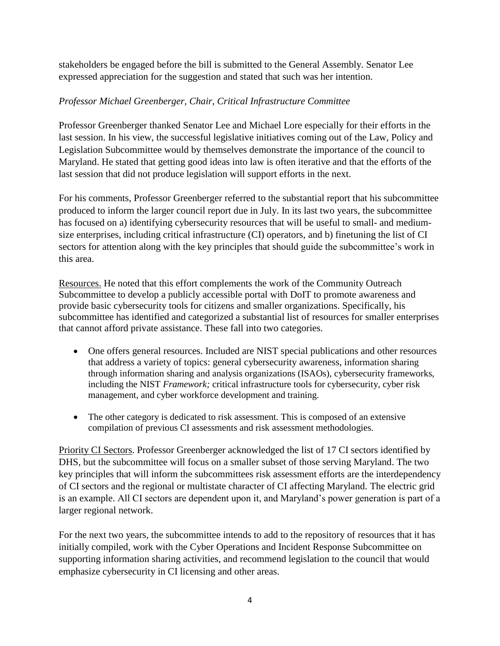stakeholders be engaged before the bill is submitted to the General Assembly. Senator Lee expressed appreciation for the suggestion and stated that such was her intention.

# *Professor Michael Greenberger, Chair, Critical Infrastructure Committee*

Professor Greenberger thanked Senator Lee and Michael Lore especially for their efforts in the last session. In his view, the successful legislative initiatives coming out of the Law, Policy and Legislation Subcommittee would by themselves demonstrate the importance of the council to Maryland. He stated that getting good ideas into law is often iterative and that the efforts of the last session that did not produce legislation will support efforts in the next.

For his comments, Professor Greenberger referred to the substantial report that his subcommittee produced to inform the larger council report due in July. In its last two years, the subcommittee has focused on a) identifying cybersecurity resources that will be useful to small- and mediumsize enterprises, including critical infrastructure (CI) operators, and b) finetuning the list of CI sectors for attention along with the key principles that should guide the subcommittee's work in this area.

Resources. He noted that this effort complements the work of the Community Outreach Subcommittee to develop a publicly accessible portal with DoIT to promote awareness and provide basic cybersecurity tools for citizens and smaller organizations. Specifically, his subcommittee has identified and categorized a substantial list of resources for smaller enterprises that cannot afford private assistance. These fall into two categories.

- One offers general resources. Included are NIST special publications and other resources that address a variety of topics: general cybersecurity awareness, information sharing through information sharing and analysis organizations (ISAOs), cybersecurity frameworks, including the NIST *Framework;* critical infrastructure tools for cybersecurity, cyber risk management, and cyber workforce development and training.
- The other category is dedicated to risk assessment. This is composed of an extensive compilation of previous CI assessments and risk assessment methodologies.

Priority CI Sectors. Professor Greenberger acknowledged the list of 17 CI sectors identified by DHS, but the subcommittee will focus on a smaller subset of those serving Maryland. The two key principles that will inform the subcommittees risk assessment efforts are the interdependency of CI sectors and the regional or multistate character of CI affecting Maryland. The electric grid is an example. All CI sectors are dependent upon it, and Maryland's power generation is part of a larger regional network.

For the next two years, the subcommittee intends to add to the repository of resources that it has initially compiled, work with the Cyber Operations and Incident Response Subcommittee on supporting information sharing activities, and recommend legislation to the council that would emphasize cybersecurity in CI licensing and other areas.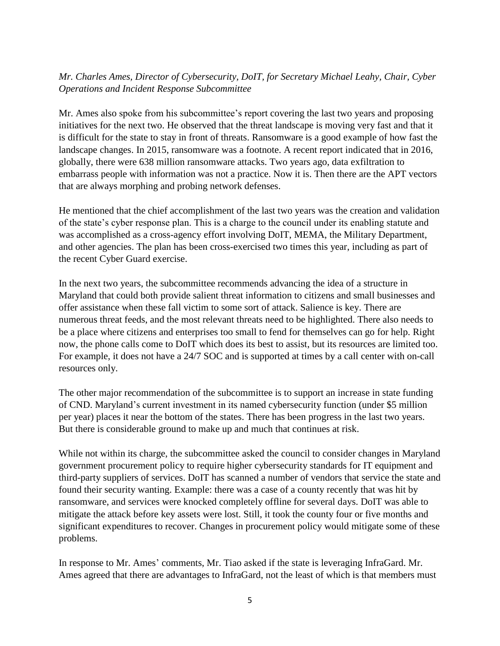# *Mr. Charles Ames, Director of Cybersecurity, DoIT, for Secretary Michael Leahy, Chair, Cyber Operations and Incident Response Subcommittee*

Mr. Ames also spoke from his subcommittee's report covering the last two years and proposing initiatives for the next two. He observed that the threat landscape is moving very fast and that it is difficult for the state to stay in front of threats. Ransomware is a good example of how fast the landscape changes. In 2015, ransomware was a footnote. A recent report indicated that in 2016, globally, there were 638 million ransomware attacks. Two years ago, data exfiltration to embarrass people with information was not a practice. Now it is. Then there are the APT vectors that are always morphing and probing network defenses.

He mentioned that the chief accomplishment of the last two years was the creation and validation of the state's cyber response plan. This is a charge to the council under its enabling statute and was accomplished as a cross-agency effort involving DoIT, MEMA, the Military Department, and other agencies. The plan has been cross-exercised two times this year, including as part of the recent Cyber Guard exercise.

In the next two years, the subcommittee recommends advancing the idea of a structure in Maryland that could both provide salient threat information to citizens and small businesses and offer assistance when these fall victim to some sort of attack. Salience is key. There are numerous threat feeds, and the most relevant threats need to be highlighted. There also needs to be a place where citizens and enterprises too small to fend for themselves can go for help. Right now, the phone calls come to DoIT which does its best to assist, but its resources are limited too. For example, it does not have a 24/7 SOC and is supported at times by a call center with on-call resources only.

The other major recommendation of the subcommittee is to support an increase in state funding of CND. Maryland's current investment in its named cybersecurity function (under \$5 million per year) places it near the bottom of the states. There has been progress in the last two years. But there is considerable ground to make up and much that continues at risk.

While not within its charge, the subcommittee asked the council to consider changes in Maryland government procurement policy to require higher cybersecurity standards for IT equipment and third-party suppliers of services. DoIT has scanned a number of vendors that service the state and found their security wanting. Example: there was a case of a county recently that was hit by ransomware, and services were knocked completely offline for several days. DoIT was able to mitigate the attack before key assets were lost. Still, it took the county four or five months and significant expenditures to recover. Changes in procurement policy would mitigate some of these problems.

In response to Mr. Ames' comments, Mr. Tiao asked if the state is leveraging InfraGard. Mr. Ames agreed that there are advantages to InfraGard, not the least of which is that members must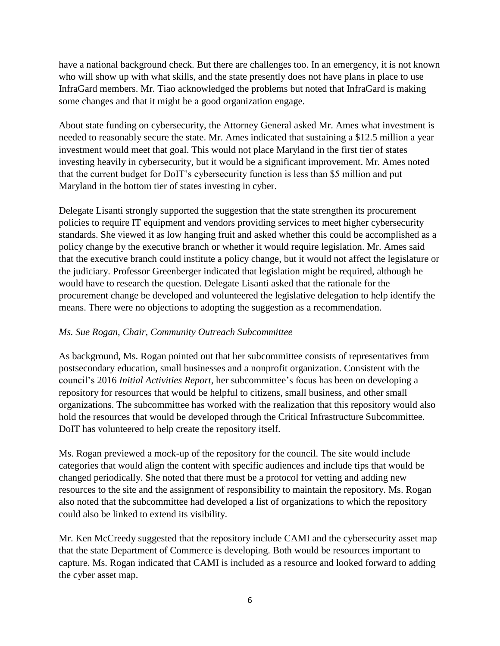have a national background check. But there are challenges too. In an emergency, it is not known who will show up with what skills, and the state presently does not have plans in place to use InfraGard members. Mr. Tiao acknowledged the problems but noted that InfraGard is making some changes and that it might be a good organization engage.

About state funding on cybersecurity, the Attorney General asked Mr. Ames what investment is needed to reasonably secure the state. Mr. Ames indicated that sustaining a \$12.5 million a year investment would meet that goal. This would not place Maryland in the first tier of states investing heavily in cybersecurity, but it would be a significant improvement. Mr. Ames noted that the current budget for DoIT's cybersecurity function is less than \$5 million and put Maryland in the bottom tier of states investing in cyber.

Delegate Lisanti strongly supported the suggestion that the state strengthen its procurement policies to require IT equipment and vendors providing services to meet higher cybersecurity standards. She viewed it as low hanging fruit and asked whether this could be accomplished as a policy change by the executive branch or whether it would require legislation. Mr. Ames said that the executive branch could institute a policy change, but it would not affect the legislature or the judiciary. Professor Greenberger indicated that legislation might be required, although he would have to research the question. Delegate Lisanti asked that the rationale for the procurement change be developed and volunteered the legislative delegation to help identify the means. There were no objections to adopting the suggestion as a recommendation.

## *Ms. Sue Rogan, Chair, Community Outreach Subcommittee*

As background, Ms. Rogan pointed out that her subcommittee consists of representatives from postsecondary education, small businesses and a nonprofit organization. Consistent with the council's 2016 *Initial Activities Report*, her subcommittee's focus has been on developing a repository for resources that would be helpful to citizens, small business, and other small organizations. The subcommittee has worked with the realization that this repository would also hold the resources that would be developed through the Critical Infrastructure Subcommittee. DoIT has volunteered to help create the repository itself.

Ms. Rogan previewed a mock-up of the repository for the council. The site would include categories that would align the content with specific audiences and include tips that would be changed periodically. She noted that there must be a protocol for vetting and adding new resources to the site and the assignment of responsibility to maintain the repository. Ms. Rogan also noted that the subcommittee had developed a list of organizations to which the repository could also be linked to extend its visibility.

Mr. Ken McCreedy suggested that the repository include CAMI and the cybersecurity asset map that the state Department of Commerce is developing. Both would be resources important to capture. Ms. Rogan indicated that CAMI is included as a resource and looked forward to adding the cyber asset map.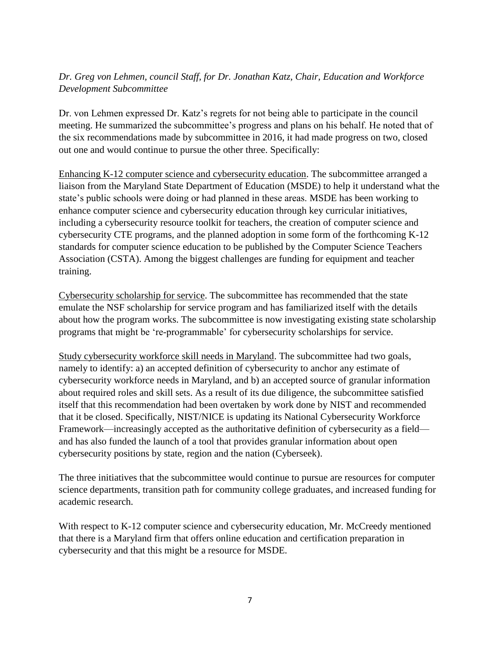# *Dr. Greg von Lehmen, council Staff, for Dr. Jonathan Katz, Chair, Education and Workforce Development Subcommittee*

Dr. von Lehmen expressed Dr. Katz's regrets for not being able to participate in the council meeting. He summarized the subcommittee's progress and plans on his behalf. He noted that of the six recommendations made by subcommittee in 2016, it had made progress on two, closed out one and would continue to pursue the other three. Specifically:

Enhancing K-12 computer science and cybersecurity education. The subcommittee arranged a liaison from the Maryland State Department of Education (MSDE) to help it understand what the state's public schools were doing or had planned in these areas. MSDE has been working to enhance computer science and cybersecurity education through key curricular initiatives, including a cybersecurity resource toolkit for teachers, the creation of computer science and cybersecurity CTE programs, and the planned adoption in some form of the forthcoming K-12 standards for computer science education to be published by the Computer Science Teachers Association (CSTA). Among the biggest challenges are funding for equipment and teacher training.

Cybersecurity scholarship for service. The subcommittee has recommended that the state emulate the NSF scholarship for service program and has familiarized itself with the details about how the program works. The subcommittee is now investigating existing state scholarship programs that might be 're-programmable' for cybersecurity scholarships for service.

Study cybersecurity workforce skill needs in Maryland. The subcommittee had two goals, namely to identify: a) an accepted definition of cybersecurity to anchor any estimate of cybersecurity workforce needs in Maryland, and b) an accepted source of granular information about required roles and skill sets. As a result of its due diligence, the subcommittee satisfied itself that this recommendation had been overtaken by work done by NIST and recommended that it be closed. Specifically, NIST/NICE is updating its National Cybersecurity Workforce Framework—increasingly accepted as the authoritative definition of cybersecurity as a field and has also funded the launch of a tool that provides granular information about open cybersecurity positions by state, region and the nation (Cyberseek).

The three initiatives that the subcommittee would continue to pursue are resources for computer science departments, transition path for community college graduates, and increased funding for academic research.

With respect to K-12 computer science and cybersecurity education, Mr. McCreedy mentioned that there is a Maryland firm that offers online education and certification preparation in cybersecurity and that this might be a resource for MSDE.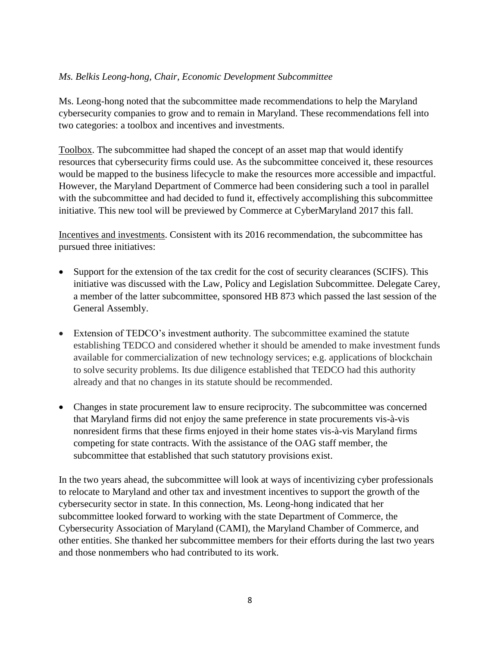### *Ms. Belkis Leong-hong, Chair, Economic Development Subcommittee*

Ms. Leong-hong noted that the subcommittee made recommendations to help the Maryland cybersecurity companies to grow and to remain in Maryland. These recommendations fell into two categories: a toolbox and incentives and investments.

Toolbox. The subcommittee had shaped the concept of an asset map that would identify resources that cybersecurity firms could use. As the subcommittee conceived it, these resources would be mapped to the business lifecycle to make the resources more accessible and impactful. However, the Maryland Department of Commerce had been considering such a tool in parallel with the subcommittee and had decided to fund it, effectively accomplishing this subcommittee initiative. This new tool will be previewed by Commerce at CyberMaryland 2017 this fall.

Incentives and investments. Consistent with its 2016 recommendation, the subcommittee has pursued three initiatives:

- Support for the extension of the tax credit for the cost of security clearances (SCIFS). This initiative was discussed with the Law, Policy and Legislation Subcommittee. Delegate Carey, a member of the latter subcommittee, sponsored HB 873 which passed the last session of the General Assembly.
- Extension of TEDCO's investment authority. The subcommittee examined the statute establishing TEDCO and considered whether it should be amended to make investment funds available for commercialization of new technology services; e.g. applications of blockchain to solve security problems. Its due diligence established that TEDCO had this authority already and that no changes in its statute should be recommended.
- Changes in state procurement law to ensure reciprocity. The subcommittee was concerned that Maryland firms did not enjoy the same preference in state procurements vis-à-vis nonresident firms that these firms enjoyed in their home states vis-à-vis Maryland firms competing for state contracts. With the assistance of the OAG staff member, the subcommittee that established that such statutory provisions exist.

In the two years ahead, the subcommittee will look at ways of incentivizing cyber professionals to relocate to Maryland and other tax and investment incentives to support the growth of the cybersecurity sector in state. In this connection, Ms. Leong-hong indicated that her subcommittee looked forward to working with the state Department of Commerce, the Cybersecurity Association of Maryland (CAMI), the Maryland Chamber of Commerce, and other entities. She thanked her subcommittee members for their efforts during the last two years and those nonmembers who had contributed to its work.